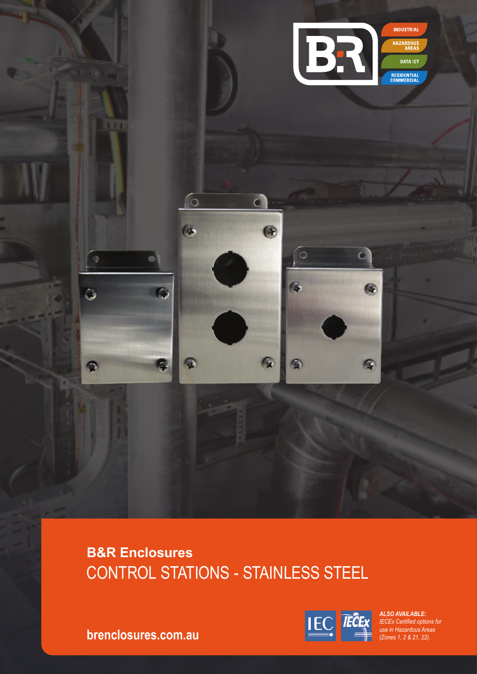

# **B&R Enclosures** CONTROL STATIONS - STAINLESS STEEL



*ALSO AVAILABLE: IECEx Certified options for use in Hazardous Areas (Zones 1, 2 & 21, 22).* 

**brenclosures.com.au**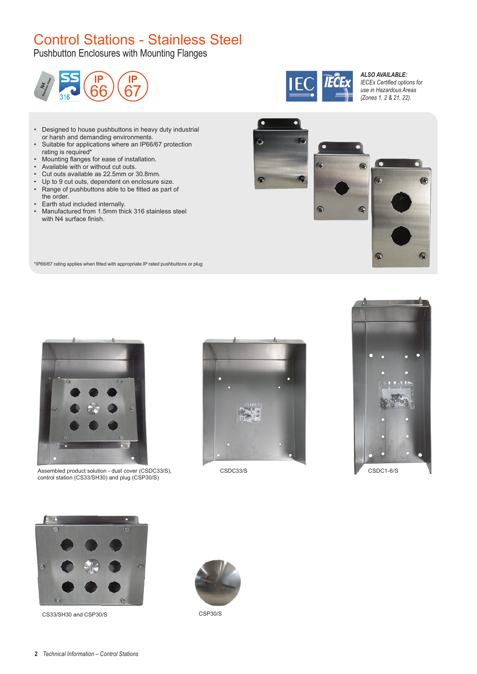## Control Stations - Stainless Steel

Pushbutton Enclosures with Mounting Flanges





#### *ALSO AVAILABLE: IECEx Certified options for use in Hazardous Areas (Zones 1, 2 & 21, 22).*

- Designed to house pushbuttons in heavy duty industrial or harsh and demanding environments.
- Suitable for applications where an IP66/67 protection rating is required\*
- Mounting flanges for ease of installation.
- Available with or without cut outs.
- Cut outs available as 22.5mm or 30.8mm.
- Up to 9 cut outs, dependent on enclosure size.<br>• Range of pushbuttons able to be fitted as part of
- Range of pushbuttons able to be fitted as part of the order.
- 
- Earth stud included internally.<br>• Manufactured from 15mm this • Manufactured from 1.5mm thick 316 stainless steel with N4 surface finish.



\*IP66/67 rating applies when fitted with appropriate IP rated pushbuttons or plug



Assembled product solution - dust cover (CSDC33/S), control station (CS33/SH30) and plug (CSP30/S)







CS33/SH30 and CSP30/S



CSP30/S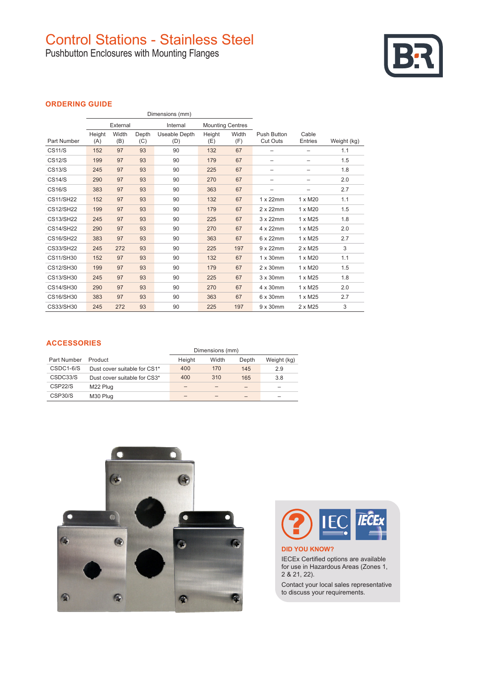## Control Stations - Stainless Steel

Pushbutton Enclosures with Mounting Flanges



## **ORDERING GUIDE**

|                  |               |              |                                     | Dimensions (mm)      |               |              |                                |                         |             |
|------------------|---------------|--------------|-------------------------------------|----------------------|---------------|--------------|--------------------------------|-------------------------|-------------|
|                  | External      |              | Internal<br><b>Mounting Centres</b> |                      |               |              |                                |                         |             |
| Part Number      | Height<br>(A) | Width<br>(B) | Depth<br>(C)                        | Useable Depth<br>(D) | Height<br>(E) | Width<br>(F) | Push Button<br><b>Cut Outs</b> | Cable<br><b>Entries</b> | Weight (kg) |
| <b>CS11/S</b>    | 152           | 97           | 93                                  | 90                   | 132           | 67           | $\overline{\phantom{0}}$       | -                       | 1.1         |
| <b>CS12/S</b>    | 199           | 97           | 93                                  | 90                   | 179           | 67           |                                |                         | 1.5         |
| <b>CS13/S</b>    | 245           | 97           | 93                                  | 90                   | 225           | 67           |                                | -                       | 1.8         |
| <b>CS14/S</b>    | 290           | 97           | 93                                  | 90                   | 270           | 67           | -                              | -                       | 2.0         |
| <b>CS16/S</b>    | 383           | 97           | 93                                  | 90                   | 363           | 67           | -                              | -                       | 2.7         |
| <b>CS11/SH22</b> | 152           | 97           | 93                                  | 90                   | 132           | 67           | $1 \times 22$ mm               | 1 x M20                 | 1.1         |
| <b>CS12/SH22</b> | 199           | 97           | 93                                  | 90                   | 179           | 67           | $2 \times 22$ mm               | 1 x M20                 | 1.5         |
| <b>CS13/SH22</b> | 245           | 97           | 93                                  | 90                   | 225           | 67           | $3 \times 22$ mm               | 1 x M25                 | 1.8         |
| <b>CS14/SH22</b> | 290           | 97           | 93                                  | 90                   | 270           | 67           | 4 x 22mm                       | 1 x M25                 | 2.0         |
| <b>CS16/SH22</b> | 383           | 97           | 93                                  | 90                   | 363           | 67           | $6 \times 22$ mm               | 1 x M25                 | 2.7         |
| CS33/SH22        | 245           | 272          | 93                                  | 90                   | 225           | 197          | $9 \times 22$ mm               | $2 \times M25$          | 3           |
| <b>CS11/SH30</b> | 152           | 97           | 93                                  | 90                   | 132           | 67           | $1 \times 30$ mm               | 1 x M20                 | 1.1         |
| CS12/SH30        | 199           | 97           | 93                                  | 90                   | 179           | 67           | $2 \times 30$ mm               | 1 x M20                 | 1.5         |
| CS13/SH30        | 245           | 97           | 93                                  | 90                   | 225           | 67           | $3 \times 30$ mm               | $1 \times M25$          | 1.8         |
| CS14/SH30        | 290           | 97           | 93                                  | 90                   | 270           | 67           | 4 x 30mm                       | 1 x M25                 | 2.0         |
| CS16/SH30        | 383           | 97           | 93                                  | 90                   | 363           | 67           | 6 x 30mm                       | 1 x M25                 | 2.7         |
| CS33/SH30        | 245           | 272          | 93                                  | 90                   | 225           | 197          | $9 \times 30$ mm               | $2 \times M25$          | 3           |

## **ACCESSORIES**

| <b>AUULUUUINLU</b>   |                              | Dimensions (mm) |       |       |             |
|----------------------|------------------------------|-----------------|-------|-------|-------------|
| Part Number          | Product                      | Height          | Width | Depth | Weight (kg) |
| CSDC1-6/S            | Dust cover suitable for CS1* | 400             | 170   | 145   | 2.9         |
| CSDC33/S             | Dust cover suitable for CS3* | 400             | 310   | 165   | 3.8         |
| CSP <sub>22</sub> /S | M22 Plug                     |                 |       |       | -           |
| <b>CSP30/S</b>       | M30 Plug                     |                 |       |       | -           |





**DID YOU KNOW?**

IECEx Certified options are available for use in Hazardous Areas (Zones 1, 2 & 21, 22).

Contact your local sales representative to discuss your requirements.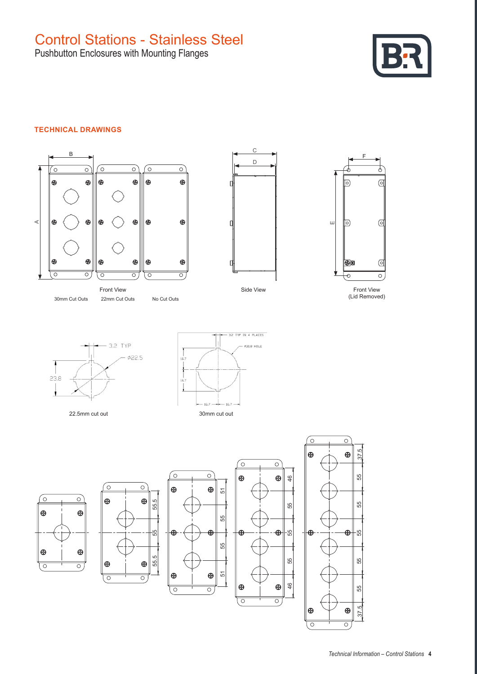Pushbutton Enclosures with Mounting Flanges



## **TECHNICAL DRAWINGS**



Front View 30mm Cut Outs 22mm Cut Outs No Cut Outs



Side View



Front View (Lid Removed)



22.5mm cut out





 $\circ$ 

 $\bigoplus$ 

 $\oplus$ 

 $\overline{\circ}$